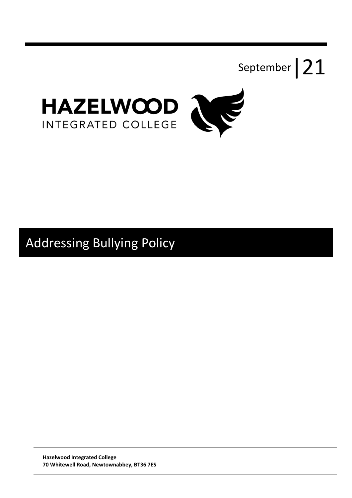



# Addressing Bullying Policy

**Hazelwood Integrated College 70 Whitewell Road, Newtownabbey, BT36 7ES**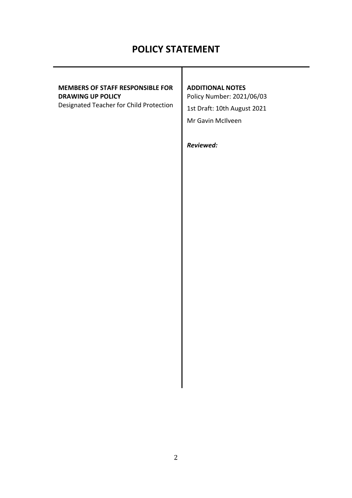# **POLICY STATEMENT**

# **MEMBERS OF STAFF RESPONSIBLE FOR DRAWING UP POLICY**

Designated Teacher for Child Protection

# **ADDITIONAL NOTES**

Policy Number: 2021/06/03 1st Draft: 10th August 2021 Mr Gavin McIlveen

*Reviewed:*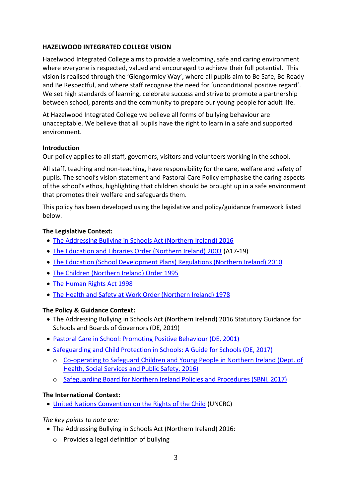#### **HAZELWOOD INTEGRATED COLLEGE VISION**

Hazelwood Integrated College aims to provide a welcoming, safe and caring environment where everyone is respected, valued and encouraged to achieve their full potential. This vision is realised through the 'Glengormley Way', where all pupils aim to Be Safe, Be Ready and Be Respectful, and where staff recognise the need for 'unconditional positive regard'. We set high standards of learning, celebrate success and strive to promote a partnership between school, parents and the community to prepare our young people for adult life.

At Hazelwood Integrated College we believe all forms of bullying behaviour are unacceptable. We believe that all pupils have the right to learn in a safe and supported environment.

#### **Introduction**

Our policy applies to all staff, governors, visitors and volunteers working in the school.

All staff, teaching and non-teaching, have responsibility for the care, welfare and safety of pupils. The school's vision statement and Pastoral Care Policy emphasise the caring aspects of the school's ethos, highlighting that children should be brought up in a safe environment that promotes their welfare and safeguards them.

This policy has been developed using the legislative and policy/guidance framework listed below.

#### **The Legislative Context:**

- [The Addressing Bullying in Schools Act \(Northern Ireland\) 2016](http://www.legislation.gov.uk/nia/2016/25/contents)
- [The Education and Libraries Order \(Northern Ireland\) 2003](http://www.legislation.gov.uk/nisi/2003/424/contents/made) (A17-19)
- [The Education \(School Development Plans\) Regulations \(Northern Ireland\) 2010](https://www.education-ni.gov.uk/sites/default/files/publications/de/annex-a-school-development-plans-regulations-2010.pdf)
- [The Children \(Northern Ireland\) Order 1995](http://www.legislation.gov.uk/nisi/1995/755/contents/made)
- [The Human Rights Act 1998](https://www.legislation.gov.uk/ukpga/1998/42/contents)
- [The Health and Safety at Work Order \(Northern Ireland\) 1978](https://www.legislation.gov.uk/nisi/1978/1039)

# **The Policy & Guidance Context:**

- The Addressing Bullying in Schools Act (Northern Ireland) 2016 Statutory Guidance for Schools and Boards of Governors (DE, 2019)
- [Pastoral Care in School: Promoting Positive Behaviour \(DE, 2001\)](https://www.education-ni.gov.uk/sites/default/files/publications/de/pastoral%20care%20in%20schools.pdf)
- [Safeguarding and Child Protection in Schools: A Guide for Schools \(DE, 2017\)](https://www.education-ni.gov.uk/sites/default/files/publications/education/Safeguarding-and-Child-Protection-in-Schools-A-Guide-for-Schools.pdf)
	- o Co-operating to [Safeguard Children and Young People in Northern Ireland \(Dept. of](https://www.health-ni.gov.uk/publications/co-operating-safeguard-children-and-young-people-northern-ireland)  [Health, Social Services and Public Safety, 2016\)](https://www.health-ni.gov.uk/publications/co-operating-safeguard-children-and-young-people-northern-ireland)
	- o [Safeguarding Board for Northern Ireland Policies and Procedures \(SBNI, 2017\)](https://www.proceduresonline.com/sbni/)

# **The International Context:**

[United Nations Convention on the Rights](https://downloads.unicef.org.uk/wp-content/uploads/2010/05/UNCRC_united_nations_convention_on_the_rights_of_the_child.pdf?_ga=2.109765637.1827233515.1552648186-274690600.1552648186) of the Child (UNCRC)

*The key points to note are:*

- The Addressing Bullying in Schools Act (Northern Ireland) 2016:
	- o Provides a legal definition of bullying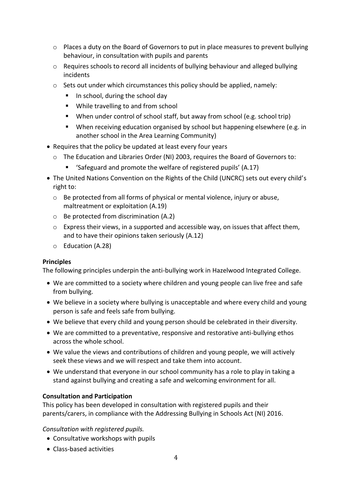- $\circ$  Places a duty on the Board of Governors to put in place measures to prevent bullying behaviour, in consultation with pupils and parents
- $\circ$  Requires schools to record all incidents of bullying behaviour and alleged bullying incidents
- $\circ$  Sets out under which circumstances this policy should be applied, namely:
	- In school, during the school day
	- While travelling to and from school
	- When under control of school staff, but away from school (e.g. school trip)
	- When receiving education organised by school but happening elsewhere (e.g. in another school in the Area Learning Community)
- Requires that the policy be updated at least every four years
	- o The Education and Libraries Order (NI) 2003, requires the Board of Governors to:
		- 'Safeguard and promote the welfare of registered pupils' (A.17)
- The United Nations Convention on the Rights of the Child (UNCRC) sets out every child's right to:
	- o Be protected from all forms of physical or mental violence, injury or abuse, maltreatment or exploitation (A.19)
	- o Be protected from discrimination (A.2)
	- $\circ$  Express their views, in a supported and accessible way, on issues that affect them, and to have their opinions taken seriously (A.12)
	- o Education (A.28)

#### **Principles**

The following principles underpin the anti-bullying work in Hazelwood Integrated College.

- We are committed to a society where children and young people can live free and safe from bullying.
- We believe in a society where bullying is unacceptable and where every child and young person is safe and feels safe from bullying.
- We believe that every child and young person should be celebrated in their diversity.
- We are committed to a preventative, responsive and restorative anti-bullying ethos across the whole school.
- We value the views and contributions of children and young people, we will actively seek these views and we will respect and take them into account.
- We understand that everyone in our school community has a role to play in taking a stand against bullying and creating a safe and welcoming environment for all.

#### **Consultation and Participation**

This policy has been developed in consultation with registered pupils and their parents/carers, in compliance with the Addressing Bullying in Schools Act (NI) 2016.

*Consultation with registered pupils.*

- Consultative workshops with pupils
- Class-based activities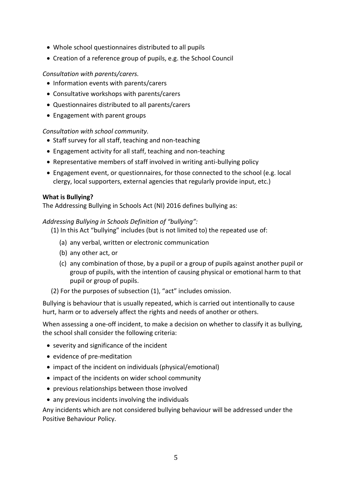- Whole school questionnaires distributed to all pupils
- Creation of a reference group of pupils, e.g. the School Council

# *Consultation with parents/carers.*

- Information events with parents/carers
- Consultative workshops with parents/carers
- Questionnaires distributed to all parents/carers
- Engagement with parent groups

#### *Consultation with school community.*

- Staff survey for all staff, teaching and non-teaching
- Engagement activity for all staff, teaching and non-teaching
- Representative members of staff involved in writing anti-bullying policy
- Engagement event, or questionnaires, for those connected to the school (e.g. local clergy, local supporters, external agencies that regularly provide input, etc.)

#### **What is Bullying?**

The Addressing Bullying in Schools Act (NI) 2016 defines bullying as:

#### *Addressing Bullying in Schools Definition of "bullying":*

- (1) In this Act "bullying" includes (but is not limited to) the repeated use of:
	- (a) any verbal, written or electronic communication
	- (b) any other act, or
	- (c) any combination of those, by a pupil or a group of pupils against another pupil or group of pupils, with the intention of causing physical or emotional harm to that pupil or group of pupils.
- (2) For the purposes of subsection (1), "act" includes omission.

Bullying is behaviour that is usually repeated, which is carried out intentionally to cause hurt, harm or to adversely affect the rights and needs of another or others.

When assessing a one-off incident, to make a decision on whether to classify it as bullying, the school shall consider the following criteria:

- severity and significance of the incident
- evidence of pre-meditation
- impact of the incident on individuals (physical/emotional)
- impact of the incidents on wider school community
- previous relationships between those involved
- any previous incidents involving the individuals

Any incidents which are not considered bullying behaviour will be addressed under the Positive Behaviour Policy.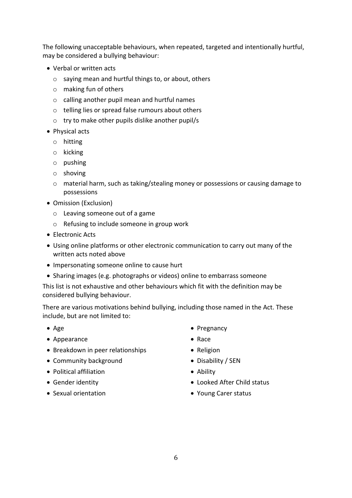The following unacceptable behaviours, when repeated, targeted and intentionally hurtful, may be considered a bullying behaviour:

- Verbal or written acts
	- o saying mean and hurtful things to, or about, others
	- o making fun of others
	- o calling another pupil mean and hurtful names
	- o telling lies or spread false rumours about others
	- o try to make other pupils dislike another pupil/s
- Physical acts
	- o hitting
	- o kicking
	- o pushing
	- o shoving
	- o material harm, such as taking/stealing money or possessions or causing damage to possessions
- Omission (Exclusion)
	- o Leaving someone out of a game
	- o Refusing to include someone in group work
- Electronic Acts
- Using online platforms or other electronic communication to carry out many of the written acts noted above
- Impersonating someone online to cause hurt
- Sharing images (e.g. photographs or videos) online to embarrass someone

This list is not exhaustive and other behaviours which fit with the definition may be considered bullying behaviour.

There are various motivations behind bullying, including those named in the Act. These include, but are not limited to:

- Age
- Appearance
- Breakdown in peer relationships
- Community background
- Political affiliation
- Gender identity
- Sexual orientation
- Pregnancy
- Race
- Religion
- Disability / SEN
- Ability
- Looked After Child status
- Young Carer status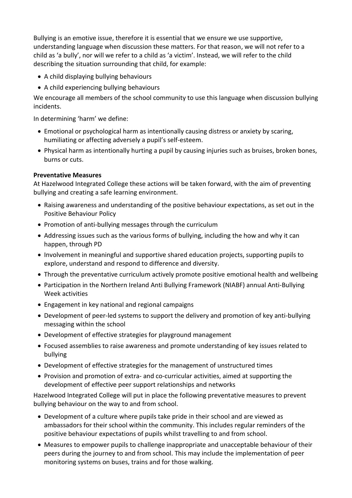Bullying is an emotive issue, therefore it is essential that we ensure we use supportive, understanding language when discussion these matters. For that reason, we will not refer to a child as 'a bully', nor will we refer to a child as 'a victim'. Instead, we will refer to the child describing the situation surrounding that child, for example:

- A child displaying bullying behaviours
- A child experiencing bullying behaviours

We encourage all members of the school community to use this language when discussion bullying incidents.

In determining 'harm' we define:

- Emotional or psychological harm as intentionally causing distress or anxiety by scaring, humiliating or affecting adversely a pupil's self-esteem.
- Physical harm as intentionally hurting a pupil by causing injuries such as bruises, broken bones, burns or cuts.

# **Preventative Measures**

At Hazelwood Integrated College these actions will be taken forward, with the aim of preventing bullying and creating a safe learning environment.

- Raising awareness and understanding of the positive behaviour expectations, as set out in the Positive Behaviour Policy
- Promotion of anti-bullying messages through the curriculum
- Addressing issues such as the various forms of bullying, including the how and why it can happen, through PD
- Involvement in meaningful and supportive shared education projects, supporting pupils to explore, understand and respond to difference and diversity.
- Through the preventative curriculum actively promote positive emotional health and wellbeing
- Participation in the Northern Ireland Anti Bullying Framework (NIABF) annual Anti-Bullying Week activities
- Engagement in key national and regional campaigns
- Development of peer-led systems to support the delivery and promotion of key anti-bullying messaging within the school
- Development of effective strategies for playground management
- Focused assemblies to raise awareness and promote understanding of key issues related to bullying
- Development of effective strategies for the management of unstructured times
- Provision and promotion of extra- and co-curricular activities, aimed at supporting the development of effective peer support relationships and networks

Hazelwood Integrated College will put in place the following preventative measures to prevent bullying behaviour on the way to and from school.

- Development of a culture where pupils take pride in their school and are viewed as ambassadors for their school within the community. This includes regular reminders of the positive behaviour expectations of pupils whilst travelling to and from school.
- Measures to empower pupils to challenge inappropriate and unacceptable behaviour of their peers during the journey to and from school. This may include the implementation of peer monitoring systems on buses, trains and for those walking.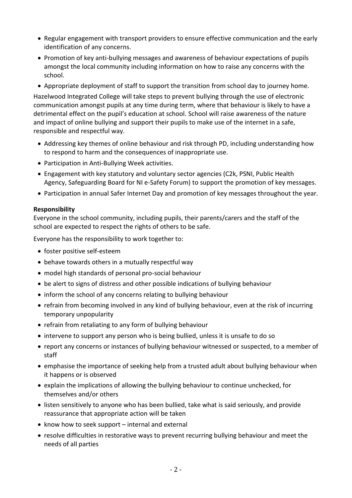- Regular engagement with transport providers to ensure effective communication and the early identification of any concerns.
- Promotion of key anti-bullying messages and awareness of behaviour expectations of pupils amongst the local community including information on how to raise any concerns with the school.
- Appropriate deployment of staff to support the transition from school day to journey home.

Hazelwood Integrated College will take steps to prevent bullying through the use of electronic communication amongst pupils at any time during term, where that behaviour is likely to have a detrimental effect on the pupil's education at school. School will raise awareness of the nature and impact of online bullying and support their pupils to make use of the internet in a safe, responsible and respectful way.

- Addressing key themes of online behaviour and risk through PD, including understanding how to respond to harm and the consequences of inappropriate use.
- Participation in Anti-Bullying Week activities.
- Engagement with key statutory and voluntary sector agencies (C2k, PSNI, Public Health Agency, Safeguarding Board for NI e-Safety Forum) to support the promotion of key messages.
- Participation in annual Safer Internet Day and promotion of key messages throughout the year.

#### **Responsibility**

Everyone in the school community, including pupils, their parents/carers and the staff of the school are expected to respect the rights of others to be safe.

Everyone has the responsibility to work together to:

- foster positive self-esteem
- behave towards others in a mutually respectful way
- model high standards of personal pro-social behaviour
- be alert to signs of distress and other possible indications of bullying behaviour
- inform the school of any concerns relating to bullying behaviour
- refrain from becoming involved in any kind of bullying behaviour, even at the risk of incurring temporary unpopularity
- refrain from retaliating to any form of bullying behaviour
- intervene to support any person who is being bullied, unless it is unsafe to do so
- report any concerns or instances of bullying behaviour witnessed or suspected, to a member of staff
- emphasise the importance of seeking help from a trusted adult about bullying behaviour when it happens or is observed
- explain the implications of allowing the bullying behaviour to continue unchecked, for themselves and/or others
- listen sensitively to anyone who has been bullied, take what is said seriously, and provide reassurance that appropriate action will be taken
- $\bullet$  know how to seek support internal and external
- resolve difficulties in restorative ways to prevent recurring bullying behaviour and meet the needs of all parties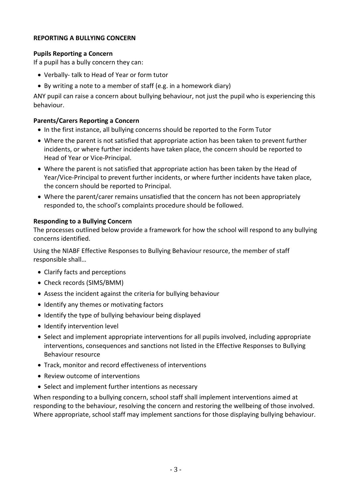# **REPORTING A BULLYING CONCERN**

# **Pupils Reporting a Concern**

If a pupil has a bully concern they can:

- Verbally- talk to Head of Year or form tutor
- By writing a note to a member of staff (e.g. in a homework diary)

ANY pupil can raise a concern about bullying behaviour, not just the pupil who is experiencing this behaviour.

#### **Parents/Carers Reporting a Concern**

- In the first instance, all bullying concerns should be reported to the Form Tutor
- Where the parent is not satisfied that appropriate action has been taken to prevent further incidents, or where further incidents have taken place, the concern should be reported to Head of Year or Vice-Principal.
- Where the parent is not satisfied that appropriate action has been taken by the Head of Year/Vice-Principal to prevent further incidents, or where further incidents have taken place, the concern should be reported to Principal.
- Where the parent/carer remains unsatisfied that the concern has not been appropriately responded to, the school's complaints procedure should be followed.

#### **Responding to a Bullying Concern**

The processes outlined below provide a framework for how the school will respond to any bullying concerns identified.

Using the NIABF Effective Responses to Bullying Behaviour resource, the member of staff responsible shall…

- Clarify facts and perceptions
- Check records (SIMS/BMM)
- Assess the incident against the criteria for bullying behaviour
- Identify any themes or motivating factors
- Identify the type of bullying behaviour being displayed
- Identify intervention level
- Select and implement appropriate interventions for all pupils involved, including appropriate interventions, consequences and sanctions not listed in the Effective Responses to Bullying Behaviour resource
- Track, monitor and record effectiveness of interventions
- Review outcome of interventions
- Select and implement further intentions as necessary

When responding to a bullying concern, school staff shall implement interventions aimed at responding to the behaviour, resolving the concern and restoring the wellbeing of those involved. Where appropriate, school staff may implement sanctions for those displaying bullying behaviour.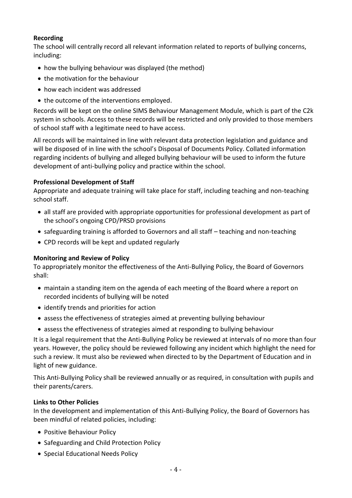# **Recording**

The school will centrally record all relevant information related to reports of bullying concerns, including:

- how the bullying behaviour was displayed (the method)
- the motivation for the behaviour
- how each incident was addressed
- the outcome of the interventions employed.

Records will be kept on the online SIMS Behaviour Management Module, which is part of the C2k system in schools. Access to these records will be restricted and only provided to those members of school staff with a legitimate need to have access.

All records will be maintained in line with relevant data protection legislation and guidance and will be disposed of in line with the school's Disposal of Documents Policy. Collated information regarding incidents of bullying and alleged bullying behaviour will be used to inform the future development of anti-bullying policy and practice within the school.

# **Professional Development of Staff**

Appropriate and adequate training will take place for staff, including teaching and non-teaching school staff.

- all staff are provided with appropriate opportunities for professional development as part of the school's ongoing CPD/PRSD provisions
- safeguarding training is afforded to Governors and all staff teaching and non-teaching
- CPD records will be kept and updated regularly

# **Monitoring and Review of Policy**

To appropriately monitor the effectiveness of the Anti-Bullying Policy, the Board of Governors shall:

- maintain a standing item on the agenda of each meeting of the Board where a report on recorded incidents of bullying will be noted
- identify trends and priorities for action
- assess the effectiveness of strategies aimed at preventing bullying behaviour
- assess the effectiveness of strategies aimed at responding to bullying behaviour

It is a legal requirement that the Anti-Bullying Policy be reviewed at intervals of no more than four years. However, the policy should be reviewed following any incident which highlight the need for such a review. It must also be reviewed when directed to by the Department of Education and in light of new guidance.

This Anti-Bullying Policy shall be reviewed annually or as required, in consultation with pupils and their parents/carers.

# **Links to Other Policies**

In the development and implementation of this Anti-Bullying Policy, the Board of Governors has been mindful of related policies, including:

- Positive Behaviour Policy
- Safeguarding and Child Protection Policy
- Special Educational Needs Policy